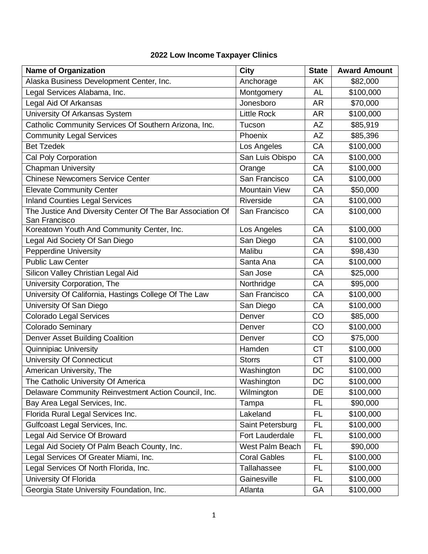## **2022 Low Income Taxpayer Clinics**

| <b>Name of Organization</b>                                                 | <b>City</b>          | <b>State</b> | <b>Award Amount</b> |
|-----------------------------------------------------------------------------|----------------------|--------------|---------------------|
| Alaska Business Development Center, Inc.                                    | Anchorage            | AK           | \$82,000            |
| Legal Services Alabama, Inc.                                                | Montgomery           | AL           | \$100,000           |
| Legal Aid Of Arkansas                                                       | Jonesboro            | <b>AR</b>    | \$70,000            |
| University Of Arkansas System                                               | <b>Little Rock</b>   | AR           | \$100,000           |
| Catholic Community Services Of Southern Arizona, Inc.                       | Tucson               | AZ           | \$85,919            |
| <b>Community Legal Services</b>                                             | Phoenix              | <b>AZ</b>    | \$85,396            |
| <b>Bet Tzedek</b>                                                           | Los Angeles          | CA           | \$100,000           |
| Cal Poly Corporation                                                        | San Luis Obispo      | CA           | \$100,000           |
| <b>Chapman University</b>                                                   | Orange               | CA           | \$100,000           |
| <b>Chinese Newcomers Service Center</b>                                     | San Francisco        | CA           | \$100,000           |
| <b>Elevate Community Center</b>                                             | <b>Mountain View</b> | CA           | \$50,000            |
| <b>Inland Counties Legal Services</b>                                       | Riverside            | CA           | \$100,000           |
| The Justice And Diversity Center Of The Bar Association Of<br>San Francisco | San Francisco        | CA           | \$100,000           |
| Koreatown Youth And Community Center, Inc.                                  | Los Angeles          | CA           | \$100,000           |
| Legal Aid Society Of San Diego                                              | San Diego            | CA           | \$100,000           |
| <b>Pepperdine University</b>                                                | Malibu               | CA           | \$98,430            |
| <b>Public Law Center</b>                                                    | Santa Ana            | CA           | \$100,000           |
| Silicon Valley Christian Legal Aid                                          | San Jose             | CA           | \$25,000            |
| University Corporation, The                                                 | Northridge           | CA           | \$95,000            |
| University Of California, Hastings College Of The Law                       | San Francisco        | CA           | \$100,000           |
| University Of San Diego                                                     | San Diego            | CA           | \$100,000           |
| <b>Colorado Legal Services</b>                                              | Denver               | CO           | \$85,000            |
| Colorado Seminary                                                           | Denver               | CO           | \$100,000           |
| Denver Asset Building Coalition                                             | Denver               | CO           | \$75,000            |
| <b>Quinnipiac University</b>                                                | Hamden               | <b>CT</b>    | \$100,000           |
| University Of Connecticut                                                   | <b>Storrs</b>        | <b>CT</b>    | \$100,000           |
| American University, The                                                    | Washington           | <b>DC</b>    | \$100,000           |
| The Catholic University Of America                                          | Washington           | DC           | \$100,000           |
| Delaware Community Reinvestment Action Council, Inc.                        | Wilmington           | DE           | \$100,000           |
| Bay Area Legal Services, Inc.                                               | Tampa                | FL           | \$90,000            |
| Florida Rural Legal Services Inc.                                           | Lakeland             | FL.          | \$100,000           |
| Gulfcoast Legal Services, Inc.                                              | Saint Petersburg     | <b>FL</b>    | \$100,000           |
| Legal Aid Service Of Broward                                                | Fort Lauderdale      | <b>FL</b>    | \$100,000           |
| Legal Aid Society Of Palm Beach County, Inc.                                | West Palm Beach      | FL           | \$90,000            |
| Legal Services Of Greater Miami, Inc.                                       | <b>Coral Gables</b>  | <b>FL</b>    | \$100,000           |
| Legal Services Of North Florida, Inc.                                       | Tallahassee          | FL           | \$100,000           |
| University Of Florida                                                       | Gainesville          | <b>FL</b>    | \$100,000           |
| Georgia State University Foundation, Inc.                                   | Atlanta              | GA           | \$100,000           |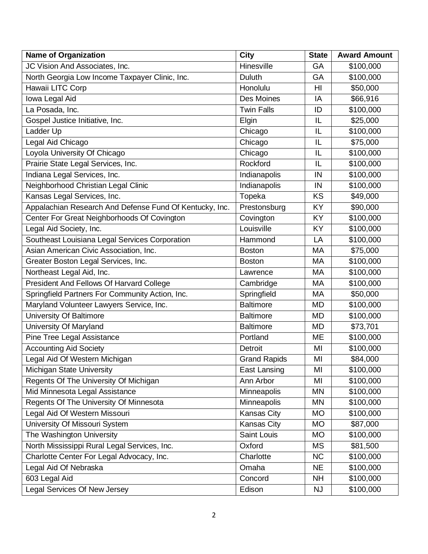| <b>Name of Organization</b>                             | <b>City</b>         | <b>State</b> | <b>Award Amount</b> |
|---------------------------------------------------------|---------------------|--------------|---------------------|
| JC Vision And Associates, Inc.                          | Hinesville          | GA           | \$100,000           |
| North Georgia Low Income Taxpayer Clinic, Inc.          | <b>Duluth</b>       | GA           | \$100,000           |
| Hawaii LITC Corp                                        | Honolulu            | HI           | \$50,000            |
| Iowa Legal Aid                                          | Des Moines          | IA           | \$66,916            |
| La Posada, Inc.                                         | <b>Twin Falls</b>   | ID           | \$100,000           |
| Gospel Justice Initiative, Inc.                         | Elgin               | IL           | \$25,000            |
| Ladder Up                                               | Chicago             | IL           | \$100,000           |
| Legal Aid Chicago                                       | Chicago             | IL           | \$75,000            |
| Loyola University Of Chicago                            | Chicago             | IL           | \$100,000           |
| Prairie State Legal Services, Inc.                      | Rockford            | IL           | \$100,000           |
| Indiana Legal Services, Inc.                            | Indianapolis        | IN           | \$100,000           |
| Neighborhood Christian Legal Clinic                     | Indianapolis        | IN           | \$100,000           |
| Kansas Legal Services, Inc.                             | Topeka              | <b>KS</b>    | \$49,000            |
| Appalachian Research And Defense Fund Of Kentucky, Inc. | Prestonsburg        | <b>KY</b>    | \$90,000            |
| Center For Great Neighborhoods Of Covington             | Covington           | KY           | \$100,000           |
| Legal Aid Society, Inc.                                 | Louisville          | KY           | \$100,000           |
| Southeast Louisiana Legal Services Corporation          | Hammond             | LA           | \$100,000           |
| Asian American Civic Association, Inc.                  | <b>Boston</b>       | МA           | \$75,000            |
| Greater Boston Legal Services, Inc.                     | <b>Boston</b>       | MA           | \$100,000           |
| Northeast Legal Aid, Inc.                               | Lawrence            | MA           | \$100,000           |
| President And Fellows Of Harvard College                | Cambridge           | МA           | \$100,000           |
| Springfield Partners For Community Action, Inc.         | Springfield         | МA           | \$50,000            |
| Maryland Volunteer Lawyers Service, Inc.                | <b>Baltimore</b>    | <b>MD</b>    | \$100,000           |
| University Of Baltimore                                 | <b>Baltimore</b>    | MD           | \$100,000           |
| University Of Maryland                                  | <b>Baltimore</b>    | MD           | \$73,701            |
| Pine Tree Legal Assistance                              | Portland            | ME           | \$100,000           |
| <b>Accounting Aid Society</b>                           | Detroit             | MI           | \$100,000           |
| Legal Aid Of Western Michigan                           | <b>Grand Rapids</b> | MI           | \$84,000            |
| Michigan State University                               | East Lansing        | MI           | \$100,000           |
| Regents Of The University Of Michigan                   | Ann Arbor           | MI           | \$100,000           |
| Mid Minnesota Legal Assistance                          | Minneapolis         | MN           | \$100,000           |
| Regents Of The University Of Minnesota                  | Minneapolis         | MN           | \$100,000           |
| Legal Aid Of Western Missouri                           | Kansas City         | <b>MO</b>    | \$100,000           |
| University Of Missouri System                           | <b>Kansas City</b>  | MO           | \$87,000            |
| The Washington University                               | Saint Louis         | МO           | \$100,000           |
| North Mississippi Rural Legal Services, Inc.            | Oxford              | MS           | \$81,500            |
| Charlotte Center For Legal Advocacy, Inc.               | Charlotte           | <b>NC</b>    | \$100,000           |
| Legal Aid Of Nebraska                                   | Omaha               | <b>NE</b>    | \$100,000           |
| 603 Legal Aid                                           | Concord             | <b>NH</b>    | \$100,000           |
| Legal Services Of New Jersey                            | Edison              | <b>NJ</b>    | \$100,000           |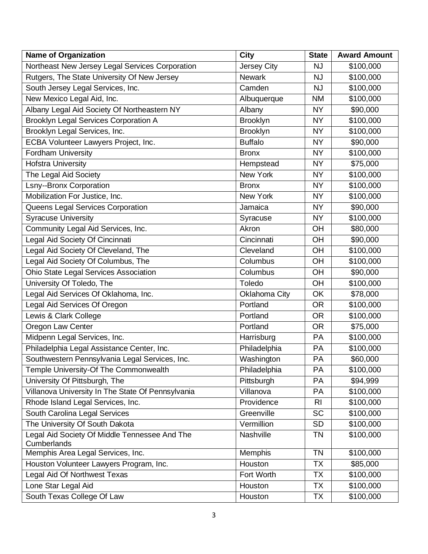| <b>Name of Organization</b>                                  | <b>City</b>        | <b>State</b>   | <b>Award Amount</b> |
|--------------------------------------------------------------|--------------------|----------------|---------------------|
| Northeast New Jersey Legal Services Corporation              | <b>Jersey City</b> | <b>NJ</b>      | \$100,000           |
| Rutgers, The State University Of New Jersey                  | <b>Newark</b>      | <b>NJ</b>      | \$100,000           |
| South Jersey Legal Services, Inc.                            | Camden             | <b>NJ</b>      | \$100,000           |
| New Mexico Legal Aid, Inc.                                   | Albuquerque        | <b>NM</b>      | \$100,000           |
| Albany Legal Aid Society Of Northeastern NY                  | Albany             | <b>NY</b>      | \$90,000            |
| <b>Brooklyn Legal Services Corporation A</b>                 | <b>Brooklyn</b>    | <b>NY</b>      | \$100,000           |
| Brooklyn Legal Services, Inc.                                | <b>Brooklyn</b>    | <b>NY</b>      | \$100,000           |
| ECBA Volunteer Lawyers Project, Inc.                         | <b>Buffalo</b>     | <b>NY</b>      | \$90,000            |
| Fordham University                                           | <b>Bronx</b>       | <b>NY</b>      | \$100,000           |
| <b>Hofstra University</b>                                    | Hempstead          | <b>NY</b>      | \$75,000            |
| The Legal Aid Society                                        | New York           | <b>NY</b>      | \$100,000           |
| <b>Lsny--Bronx Corporation</b>                               | <b>Bronx</b>       | <b>NY</b>      | \$100,000           |
| Mobilization For Justice, Inc.                               | New York           | <b>NY</b>      | \$100,000           |
| Queens Legal Services Corporation                            | Jamaica            | <b>NY</b>      | \$90,000            |
| <b>Syracuse University</b>                                   | Syracuse           | <b>NY</b>      | \$100,000           |
| Community Legal Aid Services, Inc.                           | Akron              | <b>OH</b>      | \$80,000            |
| Legal Aid Society Of Cincinnati                              | Cincinnati         | <b>OH</b>      | \$90,000            |
| Legal Aid Society Of Cleveland, The                          | Cleveland          | OH             | \$100,000           |
| Legal Aid Society Of Columbus, The                           | Columbus           | OH             | \$100,000           |
| <b>Ohio State Legal Services Association</b>                 | Columbus           | OH             | \$90,000            |
| University Of Toledo, The                                    | Toledo             | OH             | \$100,000           |
| Legal Aid Services Of Oklahoma, Inc.                         | Oklahoma City      | <b>OK</b>      | \$78,000            |
| Legal Aid Services Of Oregon                                 | Portland           | <b>OR</b>      | \$100,000           |
| Lewis & Clark College                                        | Portland           | <b>OR</b>      | \$100,000           |
| Oregon Law Center                                            | Portland           | <b>OR</b>      | \$75,000            |
| Midpenn Legal Services, Inc.                                 | Harrisburg         | PA             | \$100,000           |
| Philadelphia Legal Assistance Center, Inc.                   | Philadelphia       | PA             | \$100,000           |
| Southwestern Pennsylvania Legal Services, Inc.               | Washington         | <b>PA</b>      | \$60,000            |
| Temple University-Of The Commonwealth                        | Philadelphia       | PA             | \$100,000           |
| University Of Pittsburgh, The                                | Pittsburgh         | PA             | \$94,999            |
| Villanova University In The State Of Pennsylvania            | Villanova          | PA             | \$100,000           |
| Rhode Island Legal Services, Inc.                            | Providence         | R <sub>l</sub> | \$100,000           |
| South Carolina Legal Services                                | Greenville         | <b>SC</b>      | \$100,000           |
| The University Of South Dakota                               | Vermillion         | <b>SD</b>      | \$100,000           |
| Legal Aid Society Of Middle Tennessee And The<br>Cumberlands | Nashville          | <b>TN</b>      | \$100,000           |
| Memphis Area Legal Services, Inc.                            | <b>Memphis</b>     | <b>TN</b>      | \$100,000           |
| Houston Volunteer Lawyers Program, Inc.                      | Houston            | <b>TX</b>      | \$85,000            |
| Legal Aid Of Northwest Texas                                 | Fort Worth         | TX             | \$100,000           |
| Lone Star Legal Aid                                          | Houston            | <b>TX</b>      | \$100,000           |
| South Texas College Of Law                                   | Houston            | <b>TX</b>      | \$100,000           |